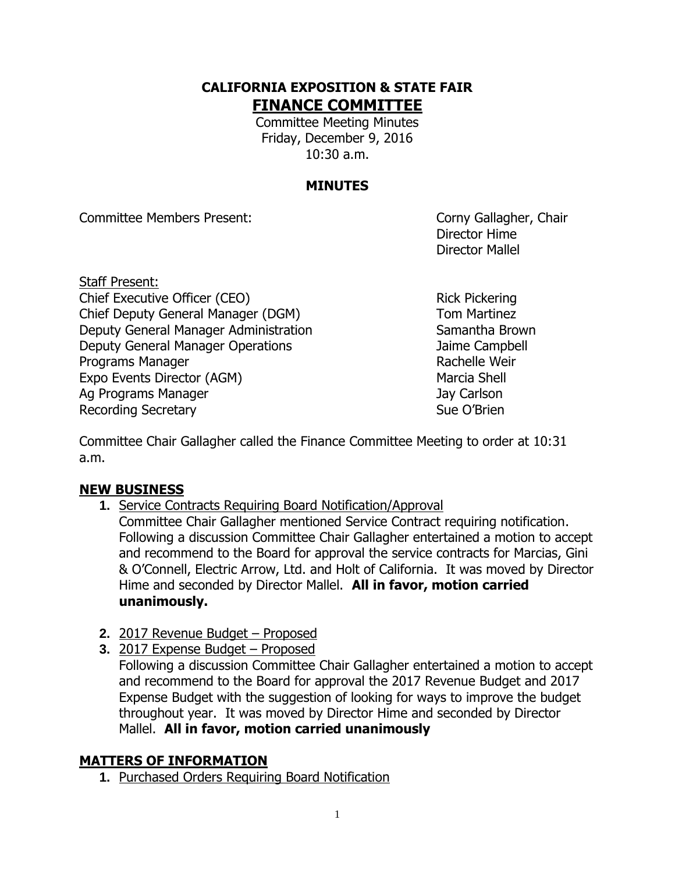### **CALIFORNIA EXPOSITION & STATE FAIR FINANCE COMMITTEE**

Committee Meeting Minutes Friday, December 9, 2016 10:30 a.m.

# **MINUTES**

Committee Members Present: Committee Members Present:

Director Hime Director Mallel

- Staff Present: Chief Executive Officer (CEO) Rick Pickering Chief Deputy General Manager (DGM) Tom Martinez Deputy General Manager Administration Samantha Brown Deputy General Manager Operations Jaime Campbell Programs Manager **Rachelle Weir** Rachelle Weir Expo Events Director (AGM) Marcia Shell Ag Programs Manager Jay Carlson Recording Secretary **Sue O'Brien** Sue O'Brien
	-

Committee Chair Gallagher called the Finance Committee Meeting to order at 10:31 a.m.

## **NEW BUSINESS**

**1.** Service Contracts Requiring Board Notification/Approval

Committee Chair Gallagher mentioned Service Contract requiring notification. Following a discussion Committee Chair Gallagher entertained a motion to accept and recommend to the Board for approval the service contracts for Marcias, Gini & O'Connell, Electric Arrow, Ltd. and Holt of California. It was moved by Director Hime and seconded by Director Mallel. **All in favor, motion carried unanimously.**

- **2.** 2017 Revenue Budget Proposed
- **3.** 2017 Expense Budget Proposed

Following a discussion Committee Chair Gallagher entertained a motion to accept and recommend to the Board for approval the 2017 Revenue Budget and 2017 Expense Budget with the suggestion of looking for ways to improve the budget throughout year. It was moved by Director Hime and seconded by Director Mallel. **All in favor, motion carried unanimously**

## **MATTERS OF INFORMATION**

**1.** Purchased Orders Requiring Board Notification